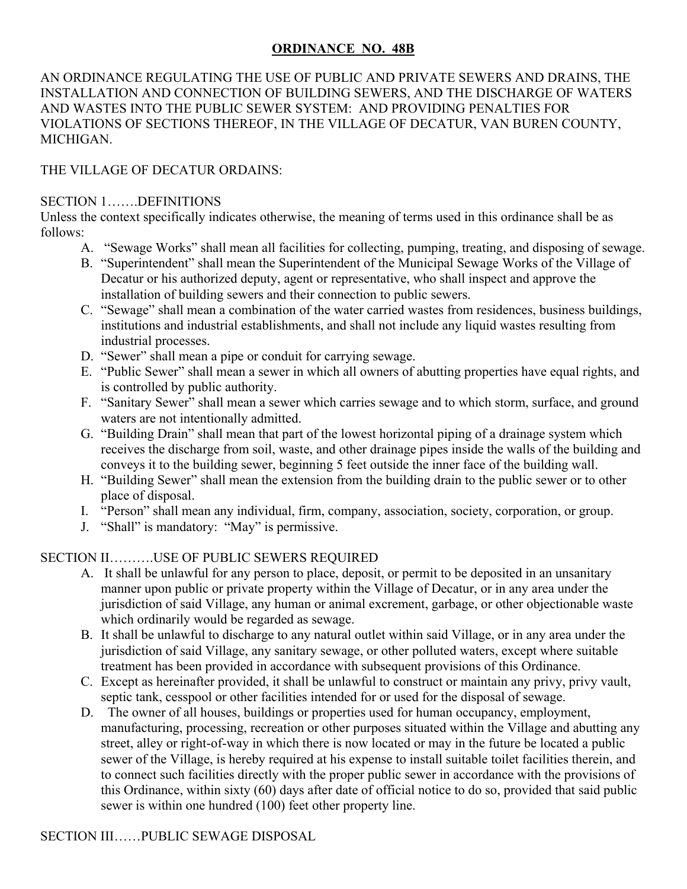### **ORDINANCE NO. 48B**

AN ORDINANCE REGULATING THE USE OF PUBLIC AND PRIVATE SEWERS AND DRAINS, THE INSTALLATION AND CONNECTION OF BUILDING SEWERS, AND THE DISCHARGE OF WATERS AND WASTES INTO THE PUBLIC SEWER SYSTEM: AND PROVIDING PENALTIES FOR VIOLATIONS OF SECTIONS THEREOF, IN THE VILLAGE OF DECATUR, VAN BUREN COUNTY, **MICHIGAN** 

## THE VILLAGE OF DECATUR ORDAINS:

#### SECTION 1…….DEFINITIONS

Unless the context specifically indicates otherwise, the meaning of terms used in this ordinance shall be as follows:

- A. "Sewage Works" shall mean all facilities for collecting, pumping, treating, and disposing of sewage.
- B. "Superintendent" shall mean the Superintendent of the Municipal Sewage Works of the Village of Decatur or his authorized deputy, agent or representative, who shall inspect and approve the installation of building sewers and their connection to public sewers.
- C. "Sewage" shall mean a combination of the water carried wastes from residences, business buildings, institutions and industrial establishments, and shall not include any liquid wastes resulting from industrial processes.
- D. "Sewer" shall mean a pipe or conduit for carrying sewage.
- E. "Public Sewer" shall mean a sewer in which all owners of abutting properties have equal rights, and is controlled by public authority.
- F. "Sanitary Sewer" shall mean a sewer which carries sewage and to which storm, surface, and ground waters are not intentionally admitted.
- G. "Building Drain" shall mean that part of the lowest horizontal piping of a drainage system which receives the discharge from soil, waste, and other drainage pipes inside the walls of the building and conveys it to the building sewer, beginning 5 feet outside the inner face of the building wall.
- H. "Building Sewer" shall mean the extension from the building drain to the public sewer or to other place of disposal.
- I. "Person" shall mean any individual, firm, company, association, society, corporation, or group.
- J. "Shall" is mandatory: "May" is permissive.

### SECTION II……….USE OF PUBLIC SEWERS REQUIRED

- A. It shall be unlawful for any person to place, deposit, or permit to be deposited in an unsanitary manner upon public or private property within the Village of Decatur, or in any area under the jurisdiction of said Village, any human or animal excrement, garbage, or other objectionable waste which ordinarily would be regarded as sewage.
- B. It shall be unlawful to discharge to any natural outlet within said Village, or in any area under the jurisdiction of said Village, any sanitary sewage, or other polluted waters, except where suitable treatment has been provided in accordance with subsequent provisions of this Ordinance.
- C. Except as hereinafter provided, it shall be unlawful to construct or maintain any privy, privy vault, septic tank, cesspool or other facilities intended for or used for the disposal of sewage.
- D. The owner of all houses, buildings or properties used for human occupancy, employment, manufacturing, processing, recreation or other purposes situated within the Village and abutting any street, alley or right-of-way in which there is now located or may in the future be located a public sewer of the Village, is hereby required at his expense to install suitable toilet facilities therein, and to connect such facilities directly with the proper public sewer in accordance with the provisions of this Ordinance, within sixty (60) days after date of official notice to do so, provided that said public sewer is within one hundred (100) feet other property line.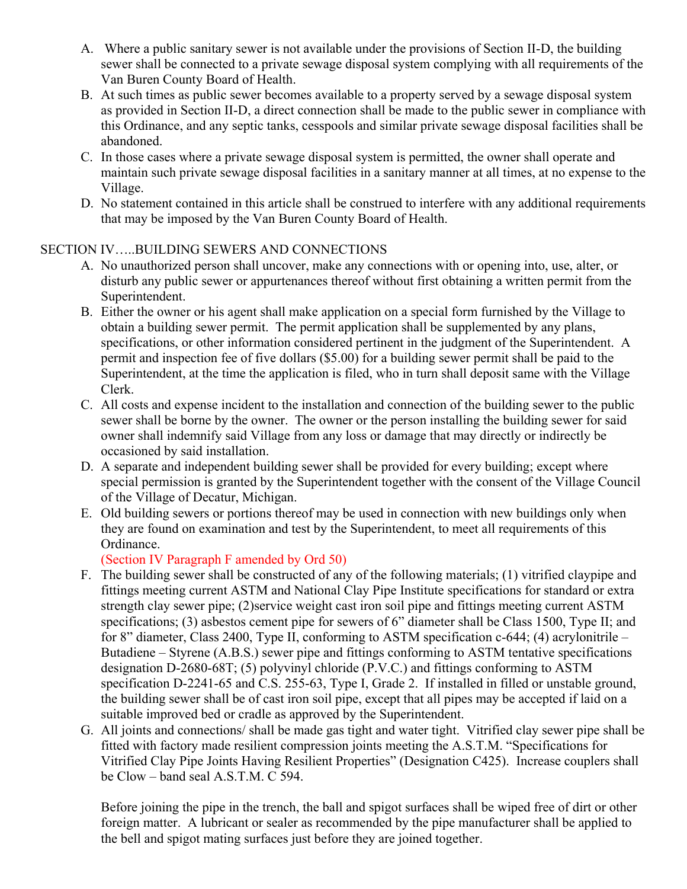- A. Where a public sanitary sewer is not available under the provisions of Section II-D, the building sewer shall be connected to a private sewage disposal system complying with all requirements of the Van Buren County Board of Health.
- B. At such times as public sewer becomes available to a property served by a sewage disposal system as provided in Section II-D, a direct connection shall be made to the public sewer in compliance with this Ordinance, and any septic tanks, cesspools and similar private sewage disposal facilities shall be abandoned.
- C. In those cases where a private sewage disposal system is permitted, the owner shall operate and maintain such private sewage disposal facilities in a sanitary manner at all times, at no expense to the Village.
- D. No statement contained in this article shall be construed to interfere with any additional requirements that may be imposed by the Van Buren County Board of Health.

### SECTION IV…..BUILDING SEWERS AND CONNECTIONS

- A. No unauthorized person shall uncover, make any connections with or opening into, use, alter, or disturb any public sewer or appurtenances thereof without first obtaining a written permit from the Superintendent.
- B. Either the owner or his agent shall make application on a special form furnished by the Village to obtain a building sewer permit. The permit application shall be supplemented by any plans, specifications, or other information considered pertinent in the judgment of the Superintendent. A permit and inspection fee of five dollars (\$5.00) for a building sewer permit shall be paid to the Superintendent, at the time the application is filed, who in turn shall deposit same with the Village Clerk.
- C. All costs and expense incident to the installation and connection of the building sewer to the public sewer shall be borne by the owner. The owner or the person installing the building sewer for said owner shall indemnify said Village from any loss or damage that may directly or indirectly be occasioned by said installation.
- D. A separate and independent building sewer shall be provided for every building; except where special permission is granted by the Superintendent together with the consent of the Village Council of the Village of Decatur, Michigan.
- E. Old building sewers or portions thereof may be used in connection with new buildings only when they are found on examination and test by the Superintendent, to meet all requirements of this Ordinance.

(Section IV Paragraph F amended by Ord 50)

- F. The building sewer shall be constructed of any of the following materials; (1) vitrified claypipe and fittings meeting current ASTM and National Clay Pipe Institute specifications for standard or extra strength clay sewer pipe; (2)service weight cast iron soil pipe and fittings meeting current ASTM specifications; (3) asbestos cement pipe for sewers of 6" diameter shall be Class 1500, Type II; and for 8" diameter, Class 2400, Type II, conforming to ASTM specification c-644; (4) acrylonitrile – Butadiene – Styrene (A.B.S.) sewer pipe and fittings conforming to ASTM tentative specifications designation D-2680-68T; (5) polyvinyl chloride (P.V.C.) and fittings conforming to ASTM specification D-2241-65 and C.S. 255-63, Type I, Grade 2. If installed in filled or unstable ground, the building sewer shall be of cast iron soil pipe, except that all pipes may be accepted if laid on a suitable improved bed or cradle as approved by the Superintendent.
- G. All joints and connections/ shall be made gas tight and water tight. Vitrified clay sewer pipe shall be fitted with factory made resilient compression joints meeting the A.S.T.M. "Specifications for Vitrified Clay Pipe Joints Having Resilient Properties" (Designation C425). Increase couplers shall be Clow – band seal A.S.T.M. C 594.

Before joining the pipe in the trench, the ball and spigot surfaces shall be wiped free of dirt or other foreign matter. A lubricant or sealer as recommended by the pipe manufacturer shall be applied to the bell and spigot mating surfaces just before they are joined together.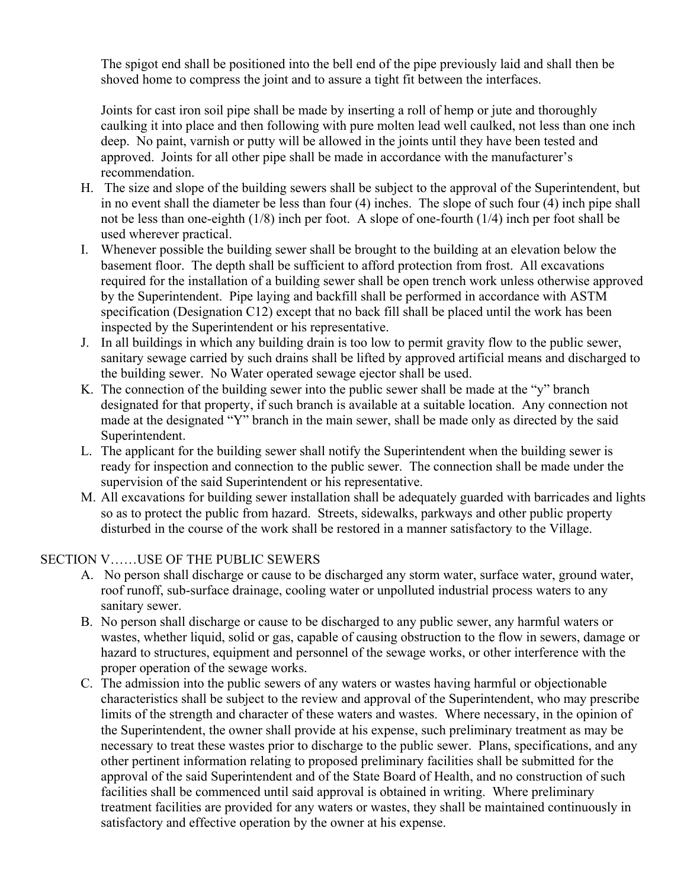The spigot end shall be positioned into the bell end of the pipe previously laid and shall then be shoved home to compress the joint and to assure a tight fit between the interfaces.

Joints for cast iron soil pipe shall be made by inserting a roll of hemp or jute and thoroughly caulking it into place and then following with pure molten lead well caulked, not less than one inch deep. No paint, varnish or putty will be allowed in the joints until they have been tested and approved. Joints for all other pipe shall be made in accordance with the manufacturer's recommendation.

- H. The size and slope of the building sewers shall be subject to the approval of the Superintendent, but in no event shall the diameter be less than four (4) inches. The slope of such four (4) inch pipe shall not be less than one-eighth (1/8) inch per foot. A slope of one-fourth (1/4) inch per foot shall be used wherever practical.
- I. Whenever possible the building sewer shall be brought to the building at an elevation below the basement floor. The depth shall be sufficient to afford protection from frost. All excavations required for the installation of a building sewer shall be open trench work unless otherwise approved by the Superintendent. Pipe laying and backfill shall be performed in accordance with ASTM specification (Designation C12) except that no back fill shall be placed until the work has been inspected by the Superintendent or his representative.
- J. In all buildings in which any building drain is too low to permit gravity flow to the public sewer, sanitary sewage carried by such drains shall be lifted by approved artificial means and discharged to the building sewer. No Water operated sewage ejector shall be used.
- K. The connection of the building sewer into the public sewer shall be made at the "y" branch designated for that property, if such branch is available at a suitable location. Any connection not made at the designated "Y" branch in the main sewer, shall be made only as directed by the said Superintendent.
- L. The applicant for the building sewer shall notify the Superintendent when the building sewer is ready for inspection and connection to the public sewer. The connection shall be made under the supervision of the said Superintendent or his representative.
- M. All excavations for building sewer installation shall be adequately guarded with barricades and lights so as to protect the public from hazard. Streets, sidewalks, parkways and other public property disturbed in the course of the work shall be restored in a manner satisfactory to the Village.

# SECTION V……USE OF THE PUBLIC SEWERS

- A. No person shall discharge or cause to be discharged any storm water, surface water, ground water, roof runoff, sub-surface drainage, cooling water or unpolluted industrial process waters to any sanitary sewer.
- B. No person shall discharge or cause to be discharged to any public sewer, any harmful waters or wastes, whether liquid, solid or gas, capable of causing obstruction to the flow in sewers, damage or hazard to structures, equipment and personnel of the sewage works, or other interference with the proper operation of the sewage works.
- C. The admission into the public sewers of any waters or wastes having harmful or objectionable characteristics shall be subject to the review and approval of the Superintendent, who may prescribe limits of the strength and character of these waters and wastes. Where necessary, in the opinion of the Superintendent, the owner shall provide at his expense, such preliminary treatment as may be necessary to treat these wastes prior to discharge to the public sewer. Plans, specifications, and any other pertinent information relating to proposed preliminary facilities shall be submitted for the approval of the said Superintendent and of the State Board of Health, and no construction of such facilities shall be commenced until said approval is obtained in writing. Where preliminary treatment facilities are provided for any waters or wastes, they shall be maintained continuously in satisfactory and effective operation by the owner at his expense.